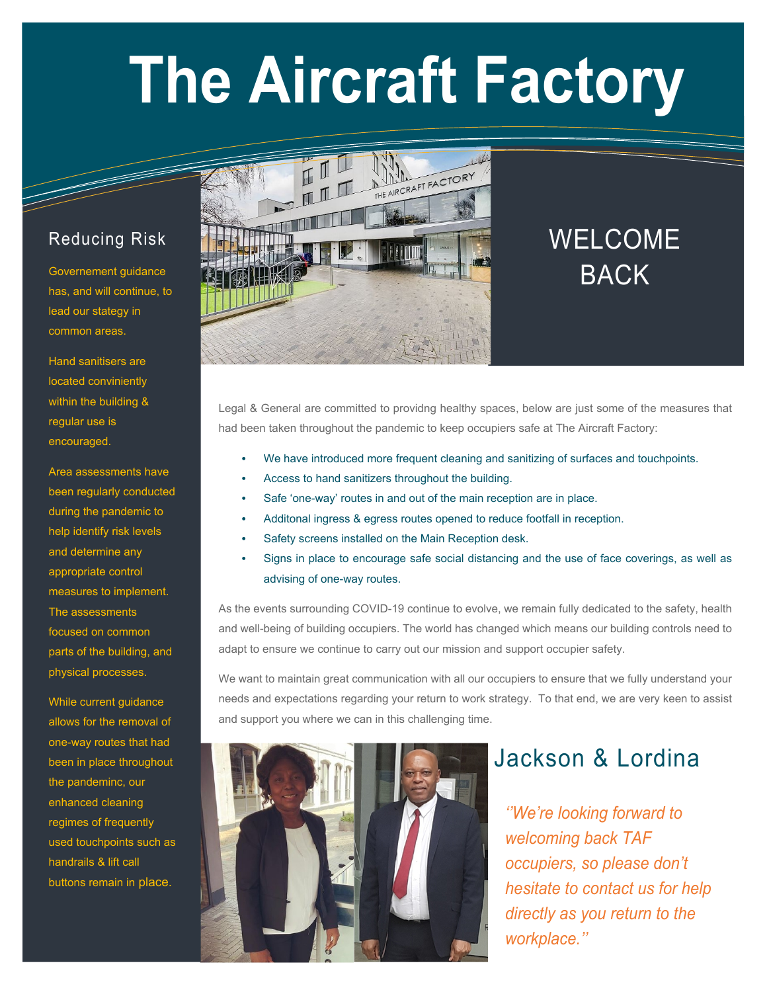# **The Aircraft Factory**

#### Reducing Risk

Governement guidance has, and will continue, to lead our stategy in common areas.

Hand sanitisers are located conviniently within the building & regular use is encouraged.

Area assessments have been regularly conducted during the pandemic to help identify risk levels and determine any appropriate control measures to implement. The assessments focused on common parts of the building, and physical processes.

While current guidance allows for the removal of one-way routes that had been in place throughout the pandeminc, our enhanced cleaning regimes of frequently used touchpoints such as handrails & lift call buttons remain in place.



# WELCOME BACK

Legal & General are committed to providng healthy spaces, below are just some of the measures that had been taken throughout the pandemic to keep occupiers safe at The Aircraft Factory:

- We have introduced more frequent cleaning and sanitizing of surfaces and touchpoints.
- Access to hand sanitizers throughout the building.
- Safe 'one-way' routes in and out of the main reception are in place.
- Additonal ingress & egress routes opened to reduce footfall in reception.
- Safety screens installed on the Main Reception desk.
- Signs in place to encourage safe social distancing and the use of face coverings, as well as advising of one-way routes.

As the events surrounding COVID-19 continue to evolve, we remain fully dedicated to the safety, health and well-being of building occupiers. The world has changed which means our building controls need to adapt to ensure we continue to carry out our mission and support occupier safety.

We want to maintain great communication with all our occupiers to ensure that we fully understand your needs and expectations regarding your return to work strategy. To that end, we are very keen to assist and support you where we can in this challenging time.



## Jackson & Lordina

*''We're looking forward to welcoming back TAF occupiers, so please don't hesitate to contact us for help directly as you return to the workplace.''*